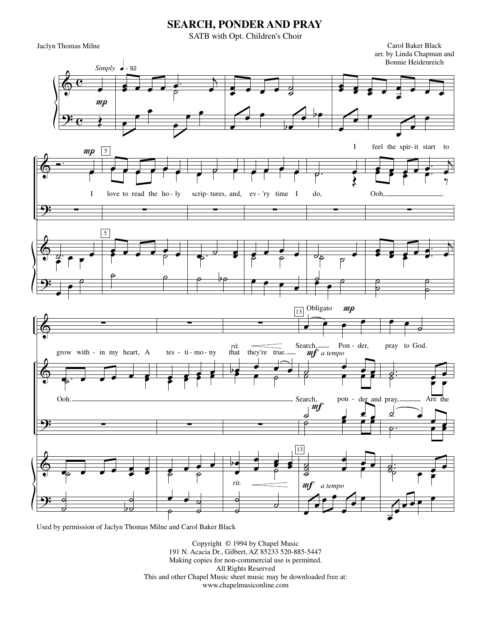## **SEARCH, PONDER AND PRAY**

SATB with Opt. Children's Choir

Jaclyn Thomas Milne Carol Baker Black

arr. by Linda Chapman and Bonnie Heidenreich



Used by permission of Jaclyn Thomas Milne and Carol Baker Black

Copyright © 1994 by Chapel Music 191 N. Acacia Dr., Gilbert, AZ 85233 520-885-5447 Making copies for non-commercial use is permitted. All Rights Reserved This and other Chapel Music sheet music may be downloaded free at: www.chapelmusiconline.com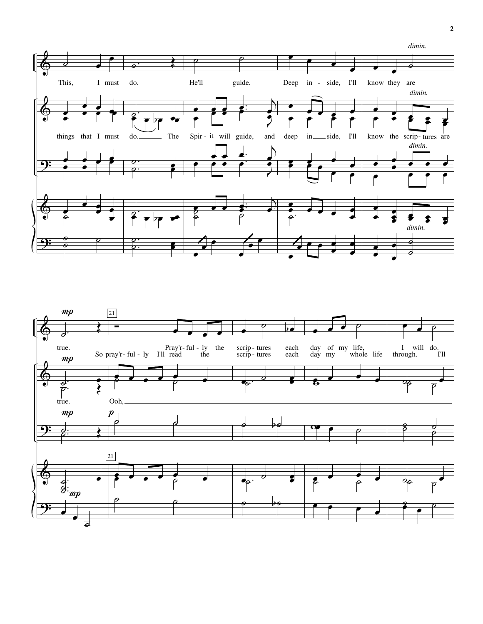

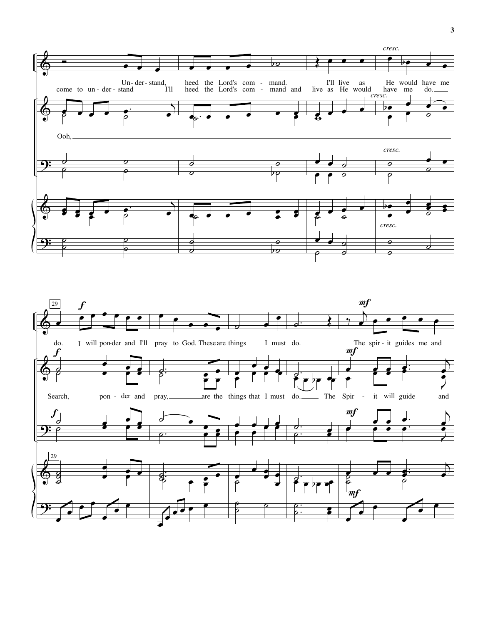